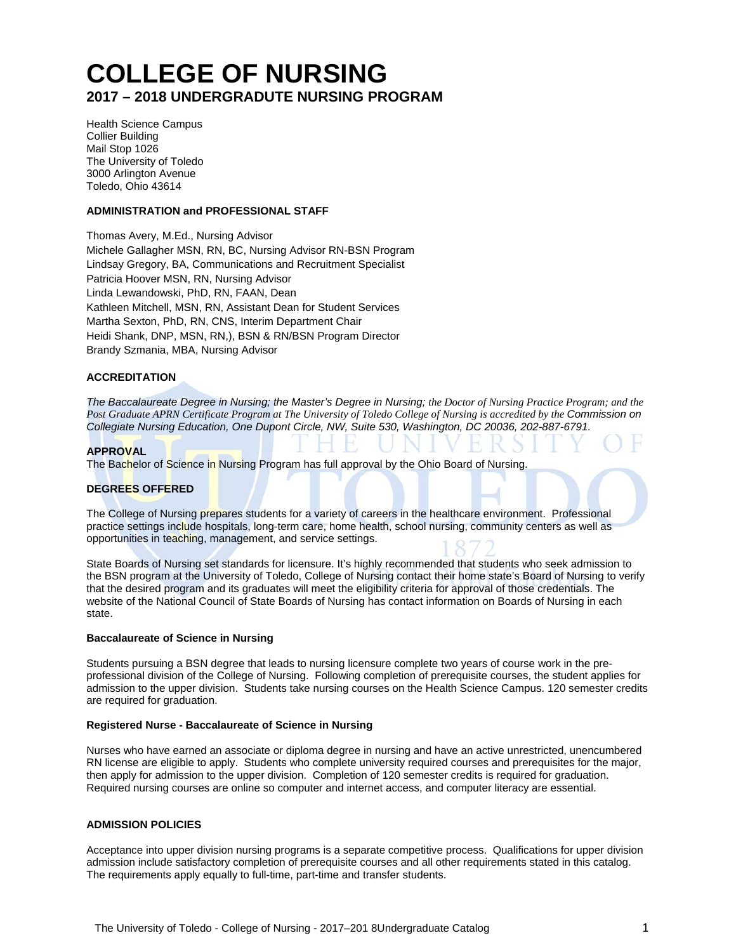# **COLLEGE OF NURSING 2017 – 2018 UNDERGRADUTE NURSING PROGRAM**

Health Science Campus Collier Building Mail Stop 1026 The University of Toledo 3000 Arlington Avenue Toledo, Ohio 43614

#### **ADMINISTRATION and PROFESSIONAL STAFF**

Thomas Avery, M.Ed., Nursing Advisor Michele Gallagher MSN, RN, BC, Nursing Advisor RN-BSN Program Lindsay Gregory, BA, Communications and Recruitment Specialist Patricia Hoover MSN, RN, Nursing Advisor Linda Lewandowski, PhD, RN, FAAN, Dean Kathleen Mitchell, MSN, RN, Assistant Dean for Student Services Martha Sexton, PhD, RN, CNS, Interim Department Chair Heidi Shank, DNP, MSN, RN,), BSN & RN/BSN Program Director Brandy Szmania, MBA, Nursing Advisor

#### **ACCREDITATION**

*The Baccalaureate Degree in Nursing; the Master's Degree in Nursing; the Doctor of Nursing Practice Program; and the Post Graduate APRN Certificate Program at The University of Toledo College of Nursing is accredited by the Commission on Collegiate Nursing Education, One Dupont Circle, NW, Suite 530, Washington, DC 20036, 202-887-6791.* 

#### **APPROVAL**

The Bachelor of Science in Nursing Program has full approval by the Ohio Board of Nursing.

#### **DEGREES OFFERED**

The College of Nursing prepares students for a variety of careers in the healthcare environment. Professional practice settings include hospitals, long-term care, home health, school nursing, community centers as well as opportunities in teaching, management, and service settings.

State Boards of Nursing set standards for licensure. It's highly recommended that students who seek admission to the BSN program at the University of Toledo, College of Nursing contact their home state's Board of Nursing to verify that the desired program and its graduates will meet the eligibility criteria for approval of those credentials. The website of the National Council of State Boards of Nursing has contact information on Boards of Nursing in each state.

#### **Baccalaureate of Science in Nursing**

Students pursuing a BSN degree that leads to nursing licensure complete two years of course work in the preprofessional division of the College of Nursing. Following completion of prerequisite courses, the student applies for admission to the upper division. Students take nursing courses on the Health Science Campus. 120 semester credits are required for graduation.

#### **Registered Nurse - Baccalaureate of Science in Nursing**

Nurses who have earned an associate or diploma degree in nursing and have an active unrestricted, unencumbered RN license are eligible to apply. Students who complete university required courses and prerequisites for the major, then apply for admission to the upper division. Completion of 120 semester credits is required for graduation. Required nursing courses are online so computer and internet access, and computer literacy are essential.

#### **ADMISSION POLICIES**

Acceptance into upper division nursing programs is a separate competitive process. Qualifications for upper division admission include satisfactory completion of prerequisite courses and all other requirements stated in this catalog. The requirements apply equally to full-time, part-time and transfer students.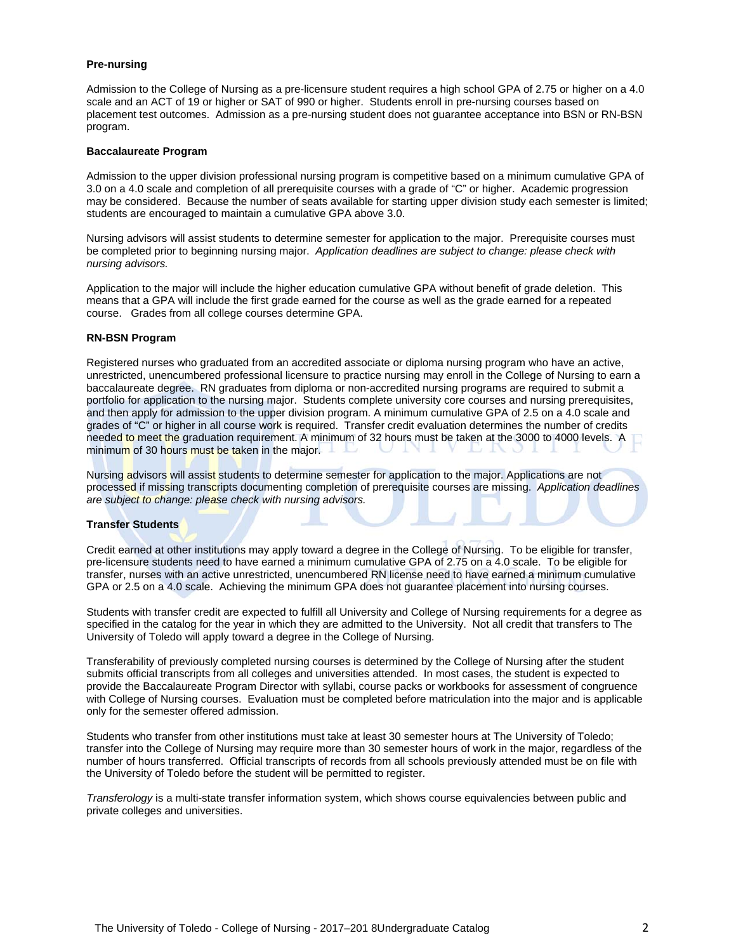#### **Pre-nursing**

Admission to the College of Nursing as a pre-licensure student requires a high school GPA of 2.75 or higher on a 4.0 scale and an ACT of 19 or higher or SAT of 990 or higher. Students enroll in pre-nursing courses based on placement test outcomes. Admission as a pre-nursing student does not guarantee acceptance into BSN or RN-BSN program.

#### **Baccalaureate Program**

Admission to the upper division professional nursing program is competitive based on a minimum cumulative GPA of 3.0 on a 4.0 scale and completion of all prerequisite courses with a grade of "C" or higher. Academic progression may be considered. Because the number of seats available for starting upper division study each semester is limited; students are encouraged to maintain a cumulative GPA above 3.0.

Nursing advisors will assist students to determine semester for application to the major. Prerequisite courses must be completed prior to beginning nursing major. *Application deadlines are subject to change: please check with nursing advisors.* 

Application to the major will include the higher education cumulative GPA without benefit of grade deletion. This means that a GPA will include the first grade earned for the course as well as the grade earned for a repeated course. Grades from all college courses determine GPA.

#### **RN-BSN Program**

Registered nurses who graduated from an accredited associate or diploma nursing program who have an active, unrestricted, unencumbered professional licensure to practice nursing may enroll in the College of Nursing to earn a baccalaureate degree. RN graduates from diploma or non-accredited nursing programs are required to submit a portfolio for application to the nursing major. Students complete university core courses and nursing prerequisites, and then apply for admission to the upper division program. A minimum cumulative GPA of 2.5 on a 4.0 scale and grades of "C" or higher in all course work is required. Transfer credit evaluation determines the number of credits needed to meet the graduation requirement. A minimum of 32 hours must be taken at the 3000 to 4000 levels. A minimum of 30 hours must be taken in the major.

Nursing advisors will assist students to determine semester for application to the major. Applications are not processed if missing transcripts documenting completion of prerequisite courses are missing. *Application deadlines are subject to change: please check with nursing advisors.* 

#### **Transfer Students**

Credit earned at other institutions may apply toward a degree in the College of Nursing. To be eligible for transfer, pre-licensure students need to have earned a minimum cumulative GPA of 2.75 on a 4.0 scale. To be eligible for transfer, nurses with an active unrestricted, unencumbered RN license need to have earned a minimum cumulative GPA or 2.5 on a 4.0 scale. Achieving the minimum GPA does not guarantee placement into nursing courses.

Students with transfer credit are expected to fulfill all University and College of Nursing requirements for a degree as specified in the catalog for the year in which they are admitted to the University. Not all credit that transfers to The University of Toledo will apply toward a degree in the College of Nursing.

Transferability of previously completed nursing courses is determined by the College of Nursing after the student submits official transcripts from all colleges and universities attended. In most cases, the student is expected to provide the Baccalaureate Program Director with syllabi, course packs or workbooks for assessment of congruence with College of Nursing courses. Evaluation must be completed before matriculation into the major and is applicable only for the semester offered admission.

Students who transfer from other institutions must take at least 30 semester hours at The University of Toledo; transfer into the College of Nursing may require more than 30 semester hours of work in the major, regardless of the number of hours transferred. Official transcripts of records from all schools previously attended must be on file with the University of Toledo before the student will be permitted to register.

*Transferology* is a multi-state transfer information system, which shows course equivalencies between public and private colleges and universities.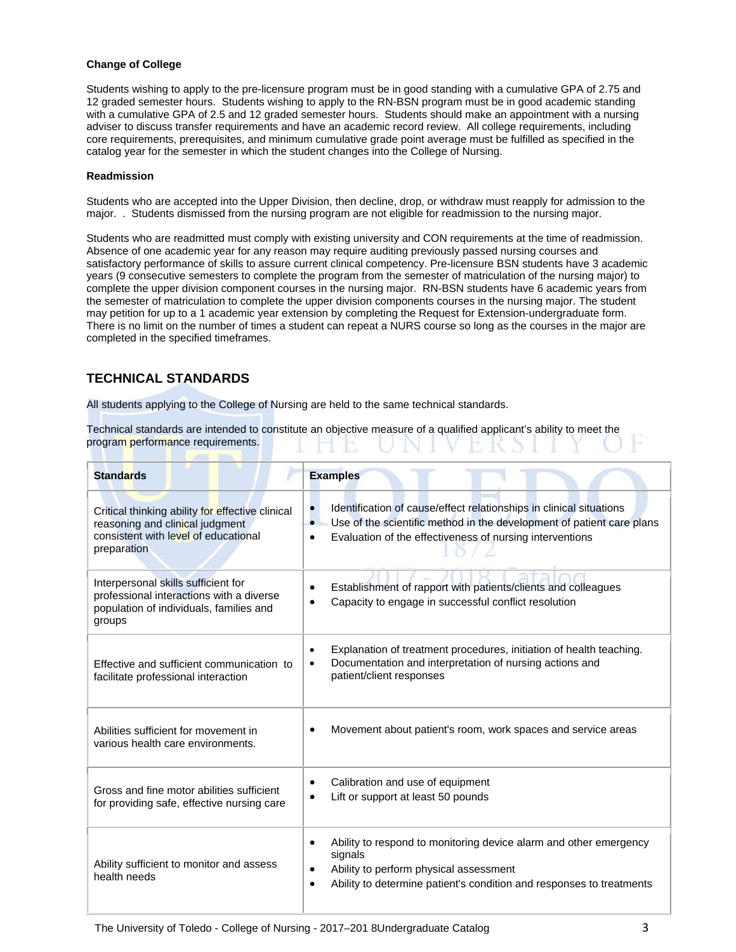#### **Change of College**

Students wishing to apply to the pre-licensure program must be in good standing with a cumulative GPA of 2.75 and 12 graded semester hours. Students wishing to apply to the RN-BSN program must be in good academic standing with a cumulative GPA of 2.5 and 12 graded semester hours. Students should make an appointment with a nursing adviser to discuss transfer requirements and have an academic record review. All college requirements, including core requirements, prerequisites, and minimum cumulative grade point average must be fulfilled as specified in the catalog year for the semester in which the student changes into the College of Nursing.

#### **Readmission**

Students who are accepted into the Upper Division, then decline, drop, or withdraw must reapply for admission to the major. . Students dismissed from the nursing program are not eligible for readmission to the nursing major.

Students who are readmitted must comply with existing university and CON requirements at the time of readmission. Absence of one academic year for any reason may require auditing previously passed nursing courses and satisfactory performance of skills to assure current clinical competency. Pre-licensure BSN students have 3 academic years (9 consecutive semesters to complete the program from the semester of matriculation of the nursing major) to complete the upper division component courses in the nursing major. RN-BSN students have 6 academic years from the semester of matriculation to complete the upper division components courses in the nursing major. The student may petition for up to a 1 academic year extension by completing the Request for Extension-undergraduate form. There is no limit on the number of times a student can repeat a NURS course so long as the courses in the major are completed in the specified timeframes.

# **TECHNICAL STANDARDS**

All students applying to the College of Nursing are held to the same technical standards.

Technical standards are intended to constitute an objective measure of a qualified applicant's ability to meet the program performance requirements.

| <b>Standards</b>                                                                                                                           | <b>Examples</b>                                                                                                                                                                                               |
|--------------------------------------------------------------------------------------------------------------------------------------------|---------------------------------------------------------------------------------------------------------------------------------------------------------------------------------------------------------------|
| Critical thinking ability for effective clinical<br>reasoning and clinical judgment<br>consistent with level of educational<br>preparation | Identification of cause/effect relationships in clinical situations<br>Use of the scientific method in the development of patient care plans<br>Evaluation of the effectiveness of nursing interventions<br>٠ |
| Interpersonal skills sufficient for<br>professional interactions with a diverse<br>population of individuals, families and<br>groups       | Establishment of rapport with patients/clients and colleagues<br>Capacity to engage in successful conflict resolution                                                                                         |
| Effective and sufficient communication to<br>facilitate professional interaction                                                           | Explanation of treatment procedures, initiation of health teaching.<br>$\bullet$<br>Documentation and interpretation of nursing actions and<br>$\bullet$<br>patient/client responses                          |
| Abilities sufficient for movement in<br>various health care environments.                                                                  | Movement about patient's room, work spaces and service areas                                                                                                                                                  |
| Gross and fine motor abilities sufficient<br>for providing safe, effective nursing care                                                    | Calibration and use of equipment<br>Lift or support at least 50 pounds<br>$\bullet$                                                                                                                           |
| Ability sufficient to monitor and assess<br>health needs                                                                                   | Ability to respond to monitoring device alarm and other emergency<br>signals<br>Ability to perform physical assessment<br>Ability to determine patient's condition and responses to treatments<br>$\bullet$   |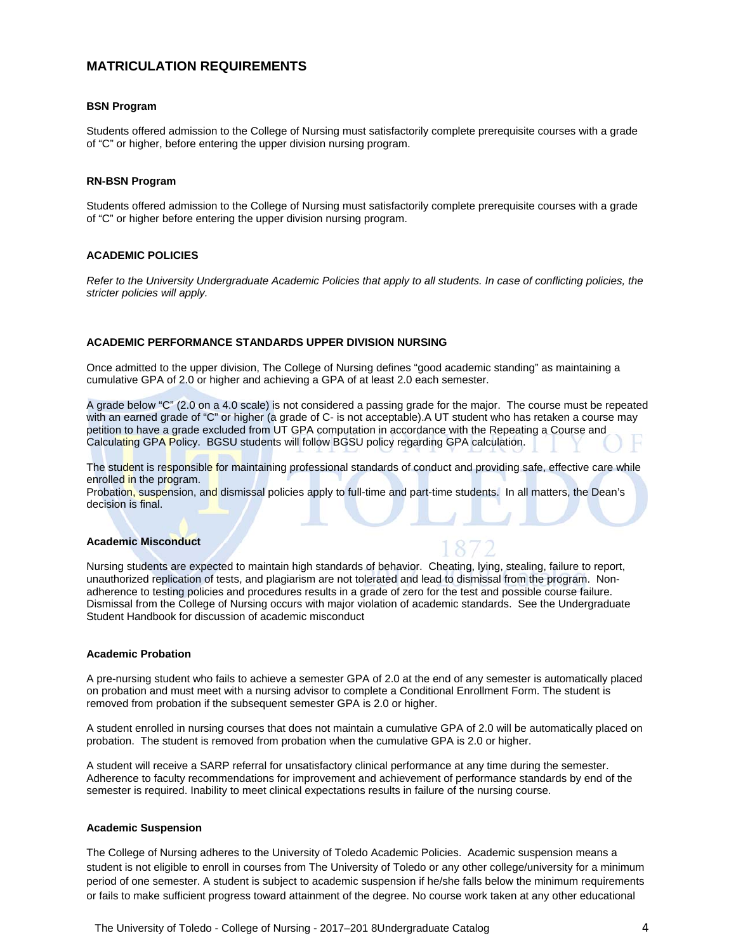# **MATRICULATION REQUIREMENTS**

#### **BSN Program**

Students offered admission to the College of Nursing must satisfactorily complete prerequisite courses with a grade of "C" or higher, before entering the upper division nursing program.

#### **RN-BSN Program**

Students offered admission to the College of Nursing must satisfactorily complete prerequisite courses with a grade of "C" or higher before entering the upper division nursing program.

#### **ACADEMIC POLICIES**

*Refer to the University Undergraduate Academic Policies that apply to all students. In case of conflicting policies, the stricter policies will apply.* 

#### **ACADEMIC PERFORMANCE STANDARDS UPPER DIVISION NURSING**

Once admitted to the upper division, The College of Nursing defines "good academic standing" as maintaining a cumulative GPA of 2.0 or higher and achieving a GPA of at least 2.0 each semester.

A grade below "C" (2.0 on a 4.0 scale) is not considered a passing grade for the major. The course must be repeated with an earned grade of "C" or higher (a grade of C- is not acceptable).A UT student who has retaken a course may petition to have a grade excluded from UT GPA computation in accordance with the Repeating a Course and Calculating GPA Policy. BGSU students will follow BGSU policy regarding GPA calculation.

The student is responsible for maintaining professional standards of conduct and providing safe, effective care while enrolled in the program.

Probation, suspension, and dismissal policies apply to full-time and part-time students. In all matters, the Dean's decision is final.

#### **Academic Misconduct**

Nursing students are expected to maintain high standards of behavior. Cheating, lying, stealing, failure to report, unauthorized replication of tests, and plagiarism are not tolerated and lead to dismissal from the program. Nonadherence to testing policies and procedures results in a grade of zero for the test and possible course failure. Dismissal from the College of Nursing occurs with major violation of academic standards. See the Undergraduate Student Handbook for discussion of academic misconduct

#### **Academic Probation**

A pre-nursing student who fails to achieve a semester GPA of 2.0 at the end of any semester is automatically placed on probation and must meet with a nursing advisor to complete a Conditional Enrollment Form. The student is removed from probation if the subsequent semester GPA is 2.0 or higher.

A student enrolled in nursing courses that does not maintain a cumulative GPA of 2.0 will be automatically placed on probation. The student is removed from probation when the cumulative GPA is 2.0 or higher.

A student will receive a SARP referral for unsatisfactory clinical performance at any time during the semester. Adherence to faculty recommendations for improvement and achievement of performance standards by end of the semester is required. Inability to meet clinical expectations results in failure of the nursing course.

#### **Academic Suspension**

The College of Nursing adheres to the University of Toledo Academic Policies. Academic suspension means a student is not eligible to enroll in courses from The University of Toledo or any other college/university for a minimum period of one semester. A student is subject to academic suspension if he/she falls below the minimum requirements or fails to make sufficient progress toward attainment of the degree. No course work taken at any other educational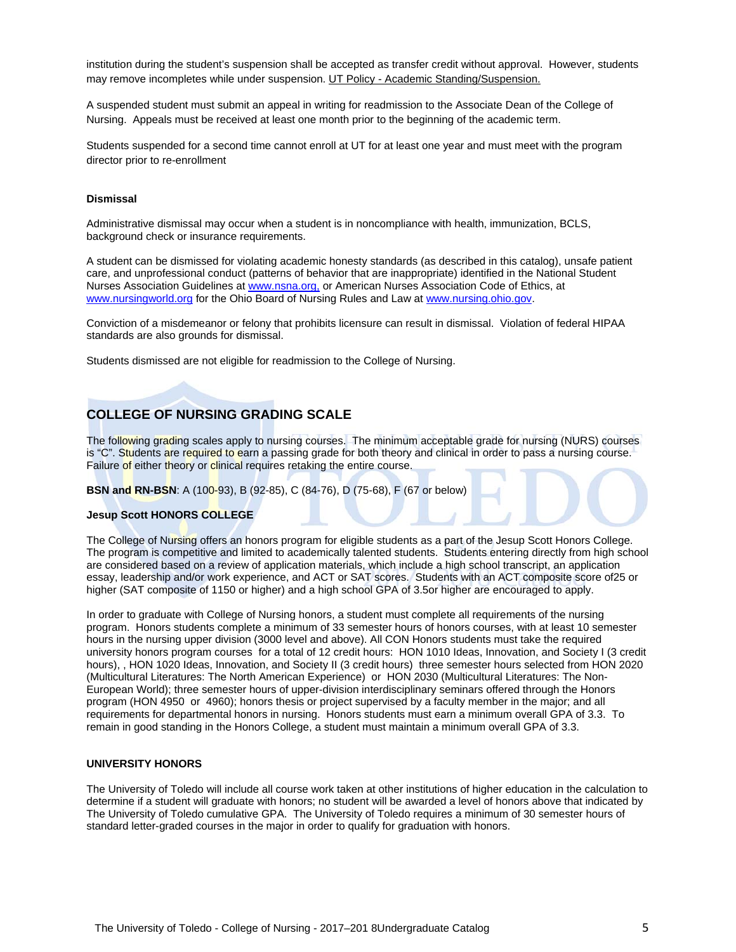institution during the student's suspension shall be accepted as transfer credit without approval. However, students may remove incompletes while under suspension. UT Policy - Academic Standing/Suspension.

A suspended student must submit an appeal in writing for readmission to the Associate Dean of the College of Nursing. Appeals must be received at least one month prior to the beginning of the academic term.

Students suspended for a second time cannot enroll at UT for at least one year and must meet with the program director prior to re-enrollment

#### **Dismissal**

Administrative dismissal may occur when a student is in noncompliance with health, immunization, BCLS, background check or insurance requirements.

A student can be dismissed for violating academic honesty standards (as described in this catalog), unsafe patient care, and unprofessional conduct (patterns of behavior that are inappropriate) identified in the National Student Nurses Association Guidelines at www.nsna.org, or American Nurses Association Code of Ethics, at www.nursingworld.org for the Ohio Board of Nursing Rules and Law at www.nursing.ohio.gov.

Conviction of a misdemeanor or felony that prohibits licensure can result in dismissal. Violation of federal HIPAA standards are also grounds for dismissal.

Students dismissed are not eligible for readmission to the College of Nursing.

### **COLLEGE OF NURSING GRADING SCALE**

The following grading scales apply to nursing courses. The minimum acceptable grade for nursing (NURS) courses is "C". Students are required to earn a passing grade for both theory and clinical in order to pass a nursing course. Failure of either theory or clinical requires retaking the entire course.

**BSN and RN-BSN**: A (100-93), B (92-85), C (84-76), D (75-68), F (67 or below)

#### **Jesup Scott HONORS COLLEGE**

The College of Nursing offers an honors program for eligible students as a part of the Jesup Scott Honors College. The program is competitive and limited to academically talented students. Students entering directly from high school are considered based on a review of application materials, which include a high school transcript, an application essay, leadership and/or work experience, and ACT or SAT scores. Students with an ACT composite score of25 or higher (SAT composite of 1150 or higher) and a high school GPA of 3.5or higher are encouraged to apply.

In order to graduate with College of Nursing honors, a student must complete all requirements of the nursing program. Honors students complete a minimum of 33 semester hours of honors courses, with at least 10 semester hours in the nursing upper division (3000 level and above). All CON Honors students must take the required university honors program courses for a total of 12 credit hours: HON 1010 Ideas, Innovation, and Society I (3 credit hours), , HON 1020 Ideas, Innovation, and Society II (3 credit hours) three semester hours selected from HON 2020 (Multicultural Literatures: The North American Experience) or HON 2030 (Multicultural Literatures: The Non-European World); three semester hours of upper-division interdisciplinary seminars offered through the Honors program (HON 4950 or 4960); honors thesis or project supervised by a faculty member in the major; and all requirements for departmental honors in nursing. Honors students must earn a minimum overall GPA of 3.3. To remain in good standing in the Honors College, a student must maintain a minimum overall GPA of 3.3.

#### **UNIVERSITY HONORS**

The University of Toledo will include all course work taken at other institutions of higher education in the calculation to determine if a student will graduate with honors; no student will be awarded a level of honors above that indicated by The University of Toledo cumulative GPA. The University of Toledo requires a minimum of 30 semester hours of standard letter-graded courses in the major in order to qualify for graduation with honors.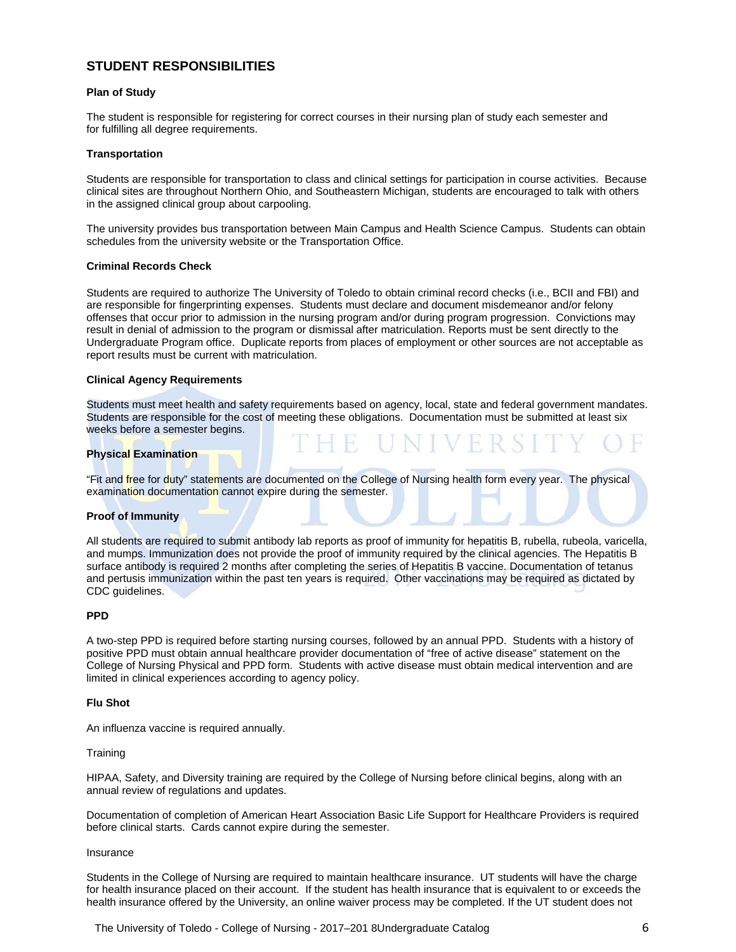# **STUDENT RESPONSIBILITIES**

#### **Plan of Study**

The student is responsible for registering for correct courses in their nursing plan of study each semester and for fulfilling all degree requirements.

#### **Transportation**

Students are responsible for transportation to class and clinical settings for participation in course activities. Because clinical sites are throughout Northern Ohio, and Southeastern Michigan, students are encouraged to talk with others in the assigned clinical group about carpooling.

The university provides bus transportation between Main Campus and Health Science Campus. Students can obtain schedules from the university website or the Transportation Office.

#### **Criminal Records Check**

Students are required to authorize The University of Toledo to obtain criminal record checks (i.e., BCII and FBI) and are responsible for fingerprinting expenses. Students must declare and document misdemeanor and/or felony offenses that occur prior to admission in the nursing program and/or during program progression. Convictions may result in denial of admission to the program or dismissal after matriculation. Reports must be sent directly to the Undergraduate Program office. Duplicate reports from places of employment or other sources are not acceptable as report results must be current with matriculation.

#### **Clinical Agency Requirements**

Students must meet health and safety requirements based on agency, local, state and federal government mandates. Students are responsible for the cost of meeting these obligations. Documentation must be submitted at least six weeks before a semester begins.

#### **Physical Examination**

"Fit and free for duty" statements are documented on the College of Nursing health form every year. The physical examination documentation cannot expire during the semester.

#### **Proof of Immunity**

All students are required to submit antibody lab reports as proof of immunity for hepatitis B, rubella, rubeola, varicella, and mumps. Immunization does not provide the proof of immunity required by the clinical agencies. The Hepatitis B surface antibody is required 2 months after completing the series of Hepatitis B vaccine. Documentation of tetanus and pertusis immunization within the past ten years is required. Other vaccinations may be required as dictated by CDC guidelines.

#### **PPD**

A two-step PPD is required before starting nursing courses, followed by an annual PPD. Students with a history of positive PPD must obtain annual healthcare provider documentation of "free of active disease" statement on the College of Nursing Physical and PPD form. Students with active disease must obtain medical intervention and are limited in clinical experiences according to agency policy.

#### **Flu Shot**

An influenza vaccine is required annually.

#### **Training**

HIPAA, Safety, and Diversity training are required by the College of Nursing before clinical begins, along with an annual review of regulations and updates.

Documentation of completion of American Heart Association Basic Life Support for Healthcare Providers is required before clinical starts. Cards cannot expire during the semester.

#### Insurance

Students in the College of Nursing are required to maintain healthcare insurance. UT students will have the charge for health insurance placed on their account. If the student has health insurance that is equivalent to or exceeds the health insurance offered by the University, an online waiver process may be completed. If the UT student does not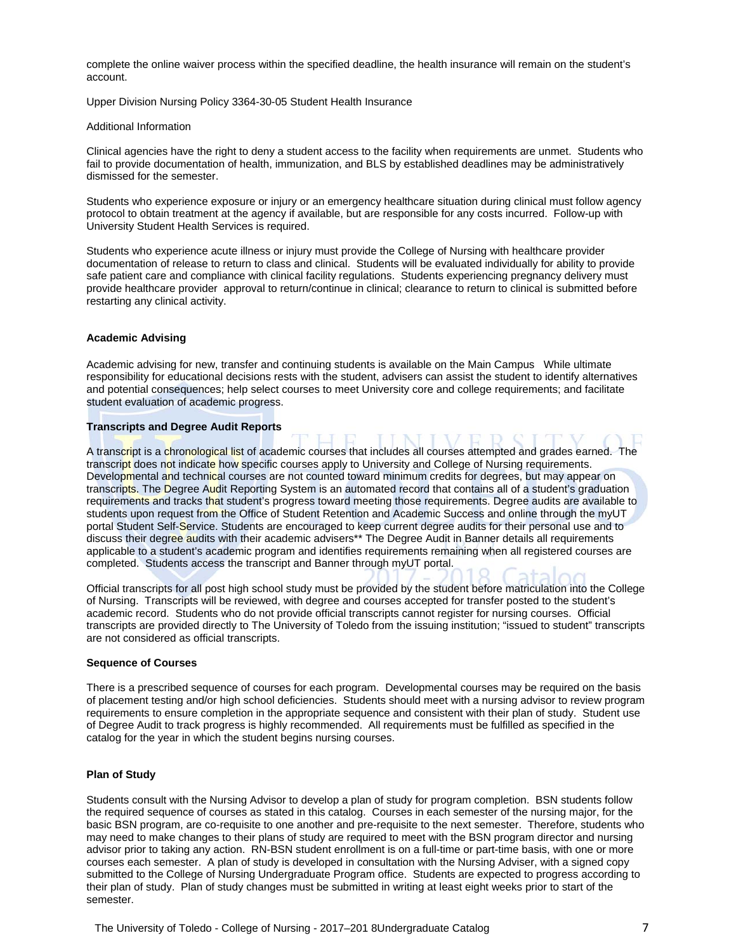complete the online waiver process within the specified deadline, the health insurance will remain on the student's account.

Upper Division Nursing Policy 3364-30-05 Student Health Insurance

#### Additional Information

Clinical agencies have the right to deny a student access to the facility when requirements are unmet. Students who fail to provide documentation of health, immunization, and BLS by established deadlines may be administratively dismissed for the semester.

Students who experience exposure or injury or an emergency healthcare situation during clinical must follow agency protocol to obtain treatment at the agency if available, but are responsible for any costs incurred. Follow-up with University Student Health Services is required.

Students who experience acute illness or injury must provide the College of Nursing with healthcare provider documentation of release to return to class and clinical. Students will be evaluated individually for ability to provide safe patient care and compliance with clinical facility regulations. Students experiencing pregnancy delivery must provide healthcare provider approval to return/continue in clinical; clearance to return to clinical is submitted before restarting any clinical activity.

#### **Academic Advising**

Academic advising for new, transfer and continuing students is available on the Main Campus While ultimate responsibility for educational decisions rests with the student, advisers can assist the student to identify alternatives and potential consequences; help select courses to meet University core and college requirements; and facilitate student evaluation of academic progress.

#### **Transcripts and Degree Audit Reports**

A transcript is a chronological list of academic courses that includes all courses attempted and grades earned. The transcript does not indicate how specific courses apply to University and College of Nursing requirements. Developmental and technical courses are not counted toward minimum credits for degrees, but may appear on transcripts. The Degree Audit Reporting System is an automated record that contains all of a student's graduation requirements and tracks that student's progress toward meeting those requirements. Degree audits are available to students upon request from the Office of Student Retention and Academic Success and online through the myUT portal Student Self-Service. Students are encouraged to keep current degree audits for their personal use and to discuss their degree audits with their academic advisers\*\* The Degree Audit in Banner details all requirements applicable to a student's academic program and identifies requirements remaining when all registered courses are completed. Students access the transcript and Banner through myUT portal.

Official transcripts for all post high school study must be provided by the student before matriculation into the College of Nursing. Transcripts will be reviewed, with degree and courses accepted for transfer posted to the student's academic record. Students who do not provide official transcripts cannot register for nursing courses. Official transcripts are provided directly to The University of Toledo from the issuing institution; "issued to student" transcripts are not considered as official transcripts.

#### **Sequence of Courses**

There is a prescribed sequence of courses for each program. Developmental courses may be required on the basis of placement testing and/or high school deficiencies. Students should meet with a nursing advisor to review program requirements to ensure completion in the appropriate sequence and consistent with their plan of study. Student use of Degree Audit to track progress is highly recommended. All requirements must be fulfilled as specified in the catalog for the year in which the student begins nursing courses.

#### **Plan of Study**

Students consult with the Nursing Advisor to develop a plan of study for program completion. BSN students follow the required sequence of courses as stated in this catalog. Courses in each semester of the nursing major, for the basic BSN program, are co-requisite to one another and pre-requisite to the next semester. Therefore, students who may need to make changes to their plans of study are required to meet with the BSN program director and nursing advisor prior to taking any action. RN-BSN student enrollment is on a full-time or part-time basis, with one or more courses each semester. A plan of study is developed in consultation with the Nursing Adviser, with a signed copy submitted to the College of Nursing Undergraduate Program office. Students are expected to progress according to their plan of study. Plan of study changes must be submitted in writing at least eight weeks prior to start of the semester.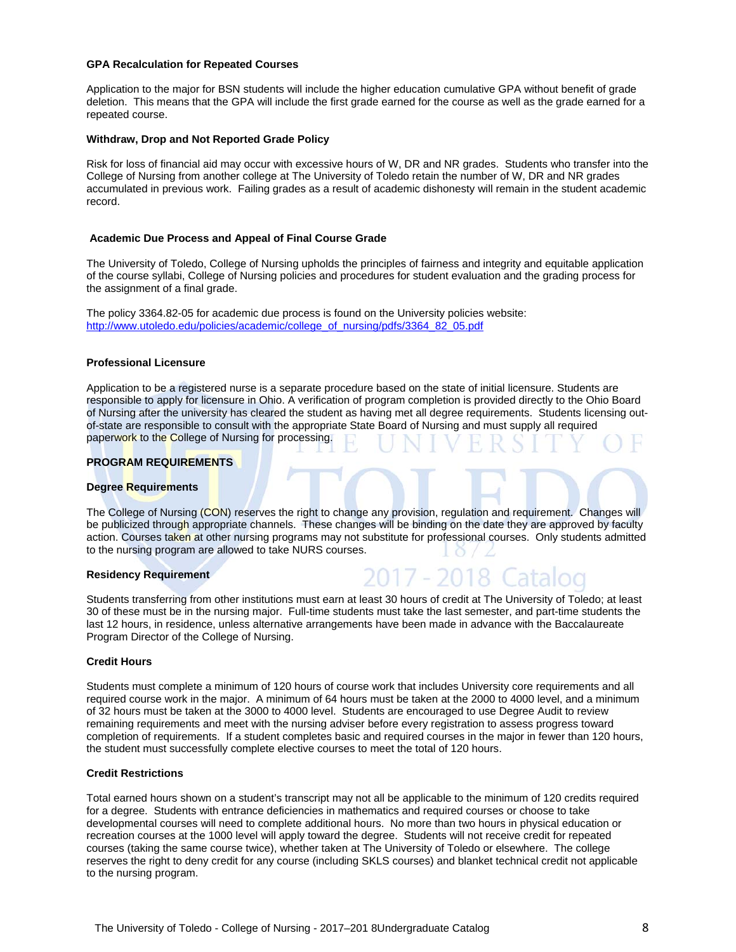#### **GPA Recalculation for Repeated Courses**

Application to the major for BSN students will include the higher education cumulative GPA without benefit of grade deletion. This means that the GPA will include the first grade earned for the course as well as the grade earned for a repeated course.

#### **Withdraw, Drop and Not Reported Grade Policy**

Risk for loss of financial aid may occur with excessive hours of W, DR and NR grades. Students who transfer into the College of Nursing from another college at The University of Toledo retain the number of W, DR and NR grades accumulated in previous work. Failing grades as a result of academic dishonesty will remain in the student academic record.

#### **Academic Due Process and Appeal of Final Course Grade**

The University of Toledo, College of Nursing upholds the principles of fairness and integrity and equitable application of the course syllabi, College of Nursing policies and procedures for student evaluation and the grading process for the assignment of a final grade.

The policy 3364.82-05 for academic due process is found on the University policies website: http://www.utoledo.edu/policies/academic/college\_of\_nursing/pdfs/3364\_82\_05.pdf

#### **Professional Licensure**

Application to be a registered nurse is a separate procedure based on the state of initial licensure. Students are responsible to apply for licensure in Ohio. A verification of program completion is provided directly to the Ohio Board of Nursing after the university has cleared the student as having met all degree requirements. Students licensing outof-state are responsible to consult with the appropriate State Board of Nursing and must supply all required paperwork to the College of Nursing for processing.

#### **PROGRAM REQUIREMENTS**

#### **Degree Requirements**

The College of Nursing (CON) reserves the right to change any provision, regulation and requirement. Changes will be publicized through appropriate channels. These changes will be binding on the date they are approved by faculty action. Courses taken at other nursing programs may not substitute for professional courses. Only students admitted to the nursing program are allowed to take NURS courses.

#### **Residency Requirement**

Students transferring from other institutions must earn at least 30 hours of credit at The University of Toledo; at least 30 of these must be in the nursing major. Full-time students must take the last semester, and part-time students the last 12 hours, in residence, unless alternative arrangements have been made in advance with the Baccalaureate Program Director of the College of Nursing.

#### **Credit Hours**

Students must complete a minimum of 120 hours of course work that includes University core requirements and all required course work in the major. A minimum of 64 hours must be taken at the 2000 to 4000 level, and a minimum of 32 hours must be taken at the 3000 to 4000 level. Students are encouraged to use Degree Audit to review remaining requirements and meet with the nursing adviser before every registration to assess progress toward completion of requirements. If a student completes basic and required courses in the major in fewer than 120 hours, the student must successfully complete elective courses to meet the total of 120 hours.

#### **Credit Restrictions**

Total earned hours shown on a student's transcript may not all be applicable to the minimum of 120 credits required for a degree. Students with entrance deficiencies in mathematics and required courses or choose to take developmental courses will need to complete additional hours. No more than two hours in physical education or recreation courses at the 1000 level will apply toward the degree. Students will not receive credit for repeated courses (taking the same course twice), whether taken at The University of Toledo or elsewhere. The college reserves the right to deny credit for any course (including SKLS courses) and blanket technical credit not applicable to the nursing program.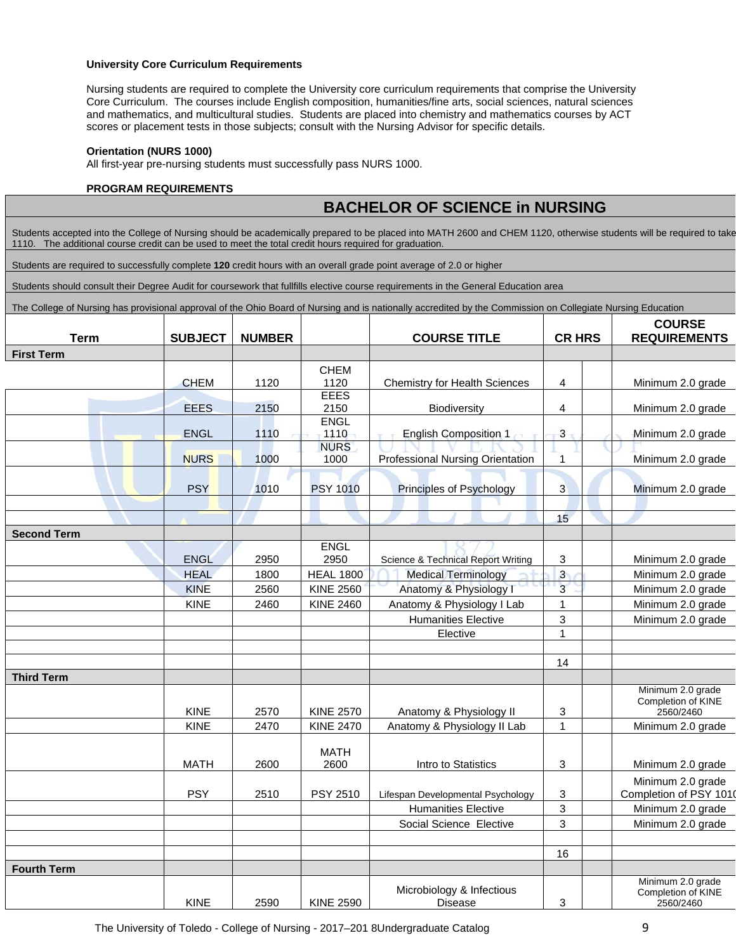#### **University Core Curriculum Requirements**

Nursing students are required to complete the University core curriculum requirements that comprise the University Core Curriculum. The courses include English composition, humanities/fine arts, social sciences, natural sciences and mathematics, and multicultural studies. Students are placed into chemistry and mathematics courses by ACT scores or placement tests in those subjects; consult with the Nursing Advisor for specific details.

#### **Orientation (NURS 1000)**

All first-year pre-nursing students must successfully pass NURS 1000.

#### **PROGRAM REQUIREMENTS**

# **BACHELOR OF SCIENCE in NURSING**

Students accepted into the College of Nursing should be academically prepared to be placed into MATH 2600 and CHEM 1120, otherwise students will be required to take 1110. The additional course credit can be used to meet the total credit hours required for graduation.

Students are required to successfully complete **120** credit hours with an overall grade point average of 2.0 or higher

Students should consult their Degree Audit for coursework that fullfills elective course requirements in the General Education area

The College of Nursing has provisional approval of the Ohio Board of Nursing and is nationally accredited by the Commission on Collegiate Nursing Education

|                    |                |               |                     |                                               | <b>CR HRS</b>           |  | <b>COURSE</b>                   |
|--------------------|----------------|---------------|---------------------|-----------------------------------------------|-------------------------|--|---------------------------------|
| <b>Term</b>        | <b>SUBJECT</b> | <b>NUMBER</b> |                     | <b>COURSE TITLE</b>                           |                         |  | <b>REQUIREMENTS</b>             |
| <b>First Term</b>  |                |               |                     |                                               |                         |  |                                 |
|                    |                |               | <b>CHEM</b>         |                                               |                         |  |                                 |
|                    | <b>CHEM</b>    | 1120          | 1120                | <b>Chemistry for Health Sciences</b>          | 4                       |  | Minimum 2.0 grade               |
|                    |                |               | <b>EEES</b>         |                                               |                         |  |                                 |
|                    | <b>EEES</b>    | 2150          | 2150                | Biodiversity                                  | 4                       |  | Minimum 2.0 grade               |
|                    |                |               | <b>ENGL</b>         |                                               |                         |  |                                 |
|                    | <b>ENGL</b>    | 1110          | 1110<br><b>NURS</b> | <b>English Composition 1</b>                  | $\overline{3}$          |  | Minimum 2.0 grade               |
|                    | <b>NURS</b>    | 1000          | 1000                | Professional Nursing Orientation              | 1                       |  | Minimum 2.0 grade               |
|                    |                |               |                     |                                               |                         |  |                                 |
|                    | <b>PSY</b>     | 1010          | <b>PSY 1010</b>     | Principles of Psychology                      | $\overline{3}$          |  | Minimum 2.0 grade               |
|                    |                |               |                     |                                               |                         |  |                                 |
|                    |                |               |                     |                                               | 15                      |  |                                 |
| <b>Second Term</b> |                |               |                     |                                               |                         |  |                                 |
|                    |                |               | <b>ENGL</b>         |                                               |                         |  |                                 |
|                    | <b>ENGL</b>    | 2950          | 2950                | <b>Science &amp; Technical Report Writing</b> | 3                       |  | Minimum 2.0 grade               |
|                    | <b>HEAL</b>    | 1800          | <b>HEAL 1800</b>    | <b>Medical Terminology</b>                    | $\overline{\mathbf{3}}$ |  | Minimum 2.0 grade               |
|                    | <b>KINE</b>    | 2560          | <b>KINE 2560</b>    | Anatomy & Physiology I                        | $\overline{3}$          |  | Minimum 2.0 grade               |
|                    | <b>KINE</b>    | 2460          | <b>KINE 2460</b>    | Anatomy & Physiology I Lab                    | 1                       |  | Minimum 2.0 grade               |
|                    |                |               |                     | <b>Humanities Elective</b>                    | $\mathbf{3}$            |  | Minimum 2.0 grade               |
|                    |                |               |                     | Elective                                      | $\overline{1}$          |  |                                 |
|                    |                |               |                     |                                               |                         |  |                                 |
|                    |                |               |                     |                                               | 14                      |  |                                 |
| <b>Third Term</b>  |                |               |                     |                                               |                         |  |                                 |
|                    |                |               |                     |                                               |                         |  | Minimum 2.0 grade               |
|                    | KINE           | 2570          | <b>KINE 2570</b>    | Anatomy & Physiology II                       | 3                       |  | Completion of KINE              |
|                    | <b>KINE</b>    | 2470          | <b>KINE 2470</b>    |                                               | 1                       |  | 2560/2460                       |
|                    |                |               |                     | Anatomy & Physiology II Lab                   |                         |  | Minimum 2.0 grade               |
|                    |                |               | <b>MATH</b>         |                                               |                         |  |                                 |
|                    | <b>MATH</b>    | 2600          | 2600                | Intro to Statistics                           | 3                       |  | Minimum 2.0 grade               |
|                    |                |               |                     |                                               |                         |  | Minimum 2.0 grade               |
|                    | <b>PSY</b>     | 2510          | PSY 2510            | Lifespan Developmental Psychology             | 3                       |  | Completion of PSY 1010          |
|                    |                |               |                     | <b>Humanities Elective</b>                    | 3                       |  | Minimum 2.0 grade               |
|                    |                |               |                     | Social Science Elective                       | 3                       |  | Minimum 2.0 grade               |
|                    |                |               |                     |                                               |                         |  |                                 |
|                    |                |               |                     |                                               | 16                      |  |                                 |
| <b>Fourth Term</b> |                |               |                     |                                               |                         |  |                                 |
|                    |                |               |                     | Microbiology & Infectious                     |                         |  | Minimum 2.0 grade               |
|                    | <b>KINE</b>    | 2590          | <b>KINE 2590</b>    | Disease                                       | 3                       |  | Completion of KINE<br>2560/2460 |
|                    |                |               |                     |                                               |                         |  |                                 |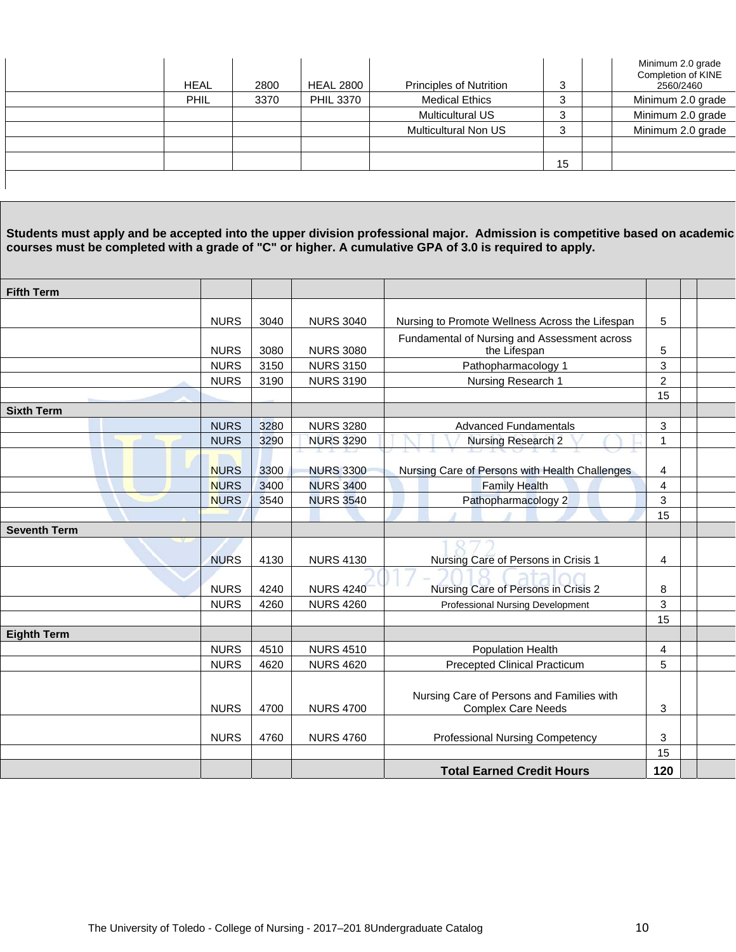| <b>HEAL</b> | 2800 | <b>HEAL 2800</b> | <b>Principles of Nutrition</b> | 3  | Minimum 2.0 grade<br>Completion of KINE<br>2560/2460 |
|-------------|------|------------------|--------------------------------|----|------------------------------------------------------|
| <b>PHIL</b> | 3370 | <b>PHIL 3370</b> | <b>Medical Ethics</b>          | 3  | Minimum 2.0 grade                                    |
|             |      |                  | <b>Multicultural US</b>        | 3  | Minimum 2.0 grade                                    |
|             |      |                  | <b>Multicultural Non US</b>    | 3  | Minimum 2.0 grade                                    |
|             |      |                  |                                |    |                                                      |
|             |      |                  |                                | 15 |                                                      |
|             |      |                  |                                |    |                                                      |

**Students must apply and be accepted into the upper division professional major. Admission is competitive based on academic courses must be completed with a grade of "C" or higher. A cumulative GPA of 3.0 is required to apply.** 

| <b>Fifth Term</b>   |             |      |                  |                                                 |                |  |
|---------------------|-------------|------|------------------|-------------------------------------------------|----------------|--|
|                     |             |      |                  |                                                 | 5              |  |
|                     | <b>NURS</b> | 3040 | <b>NURS 3040</b> | Nursing to Promote Wellness Across the Lifespan |                |  |
|                     |             |      |                  | Fundamental of Nursing and Assessment across    |                |  |
|                     | <b>NURS</b> | 3080 | <b>NURS 3080</b> | the Lifespan                                    |                |  |
|                     | <b>NURS</b> | 3150 | <b>NURS 3150</b> | Pathopharmacology 1                             |                |  |
|                     | <b>NURS</b> | 3190 | <b>NURS 3190</b> | Nursing Research 1                              | $\overline{c}$ |  |
|                     |             |      |                  |                                                 | 15             |  |
| <b>Sixth Term</b>   |             |      |                  |                                                 |                |  |
|                     | <b>NURS</b> | 3280 | <b>NURS 3280</b> | <b>Advanced Fundamentals</b>                    | 3              |  |
|                     | <b>NURS</b> | 3290 | <b>NURS 3290</b> | <b>Nursing Research 2</b>                       | $\mathbf{1}$   |  |
|                     | <b>NURS</b> | 3300 | <b>NURS 3300</b> | Nursing Care of Persons with Health Challenges  | 4              |  |
|                     | <b>NURS</b> | 3400 | <b>NURS 3400</b> | <b>Family Health</b>                            | $\overline{4}$ |  |
|                     | <b>NURS</b> | 3540 | <b>NURS 3540</b> | Pathopharmacology 2                             | 3              |  |
|                     |             |      |                  |                                                 | 15             |  |
| <b>Seventh Term</b> |             |      |                  |                                                 |                |  |
|                     |             |      |                  |                                                 |                |  |
|                     | <b>NURS</b> | 4130 | <b>NURS 4130</b> | Nursing Care of Persons in Crisis 1             | 4              |  |
|                     |             |      |                  |                                                 |                |  |
|                     | <b>NURS</b> | 4240 | <b>NURS 4240</b> | Nursing Care of Persons in Crisis 2             | 8              |  |
|                     | <b>NURS</b> | 4260 | <b>NURS 4260</b> | Professional Nursing Development                | 3              |  |
|                     |             |      |                  |                                                 | 15             |  |
| <b>Eighth Term</b>  |             |      |                  |                                                 |                |  |
|                     | <b>NURS</b> | 4510 | <b>NURS 4510</b> | <b>Population Health</b>                        | 4              |  |
|                     | <b>NURS</b> | 4620 | <b>NURS 4620</b> | <b>Precepted Clinical Practicum</b>             | 5              |  |
|                     |             |      |                  |                                                 |                |  |
|                     |             |      |                  | Nursing Care of Persons and Families with       |                |  |
|                     | <b>NURS</b> | 4700 | <b>NURS 4700</b> | <b>Complex Care Needs</b>                       | 3              |  |
|                     |             |      |                  |                                                 |                |  |
|                     | <b>NURS</b> | 4760 | <b>NURS 4760</b> | <b>Professional Nursing Competency</b>          | 3              |  |
|                     |             |      |                  |                                                 | 15             |  |
|                     |             |      |                  | <b>Total Earned Credit Hours</b>                | 120            |  |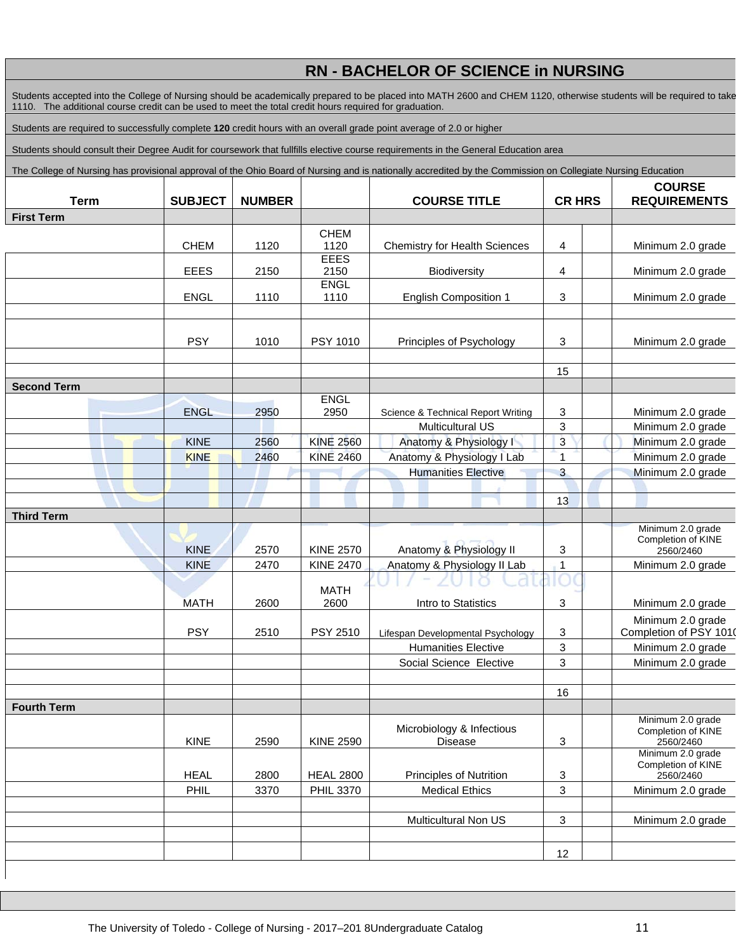# **RN - BACHELOR OF SCIENCE in NURSING**

Students accepted into the College of Nursing should be academically prepared to be placed into MATH 2600 and CHEM 1120, otherwise students will be required to take 1110. The additional course credit can be used to meet the total credit hours required for graduation.

Students are required to successfully complete **120** credit hours with an overall grade point average of 2.0 or higher

Students should consult their Degree Audit for coursework that fullfills elective course requirements in the General Education area

The College of Nursing has provisional approval of the Ohio Board of Nursing and is nationally accredited by the Commission on Collegiate Nursing Education

| <b>Term</b>        | <b>SUBJECT</b>             | <b>NUMBER</b> |                                      | <b>COURSE TITLE</b>                               | <b>CR HRS</b>  | <b>COURSE</b><br><b>REQUIREMENTS</b>    |  |
|--------------------|----------------------------|---------------|--------------------------------------|---------------------------------------------------|----------------|-----------------------------------------|--|
| <b>First Term</b>  |                            |               |                                      |                                                   |                |                                         |  |
|                    |                            |               | <b>CHEM</b>                          |                                                   |                |                                         |  |
|                    | <b>CHEM</b>                | 1120          | 1120                                 | <b>Chemistry for Health Sciences</b>              | 4              | Minimum 2.0 grade                       |  |
|                    |                            |               | <b>EEES</b>                          |                                                   |                |                                         |  |
|                    | <b>EEES</b>                | 2150          | 2150<br><b>ENGL</b>                  | Biodiversity                                      | 4              | Minimum 2.0 grade                       |  |
|                    | <b>ENGL</b>                | 1110          | 1110                                 | <b>English Composition 1</b>                      | 3              | Minimum 2.0 grade                       |  |
|                    |                            |               |                                      |                                                   |                |                                         |  |
|                    |                            |               |                                      |                                                   |                |                                         |  |
|                    | <b>PSY</b>                 | 1010          | PSY 1010                             | Principles of Psychology                          | 3              | Minimum 2.0 grade                       |  |
|                    |                            |               |                                      |                                                   |                |                                         |  |
|                    |                            |               |                                      |                                                   | 15             |                                         |  |
| <b>Second Term</b> |                            |               |                                      |                                                   |                |                                         |  |
|                    | <b>ENGL</b>                |               | <b>ENGL</b><br>2950                  |                                                   |                |                                         |  |
|                    |                            | 2950          |                                      | Science & Technical Report Writing                | 3<br>3         | Minimum 2.0 grade<br>Minimum 2.0 grade  |  |
|                    | <b>KINE</b>                | 2560          | <b>KINE 2560</b>                     | <b>Multicultural US</b><br>Anatomy & Physiology I | $\overline{3}$ | Minimum 2.0 grade                       |  |
|                    | <b>KINE</b>                | 2460          | <b>KINE 2460</b>                     | Anatomy & Physiology I Lab                        | 1              | Minimum 2.0 grade                       |  |
|                    |                            |               |                                      | <b>Humanities Elective</b>                        | 3              | Minimum 2.0 grade                       |  |
|                    |                            |               |                                      |                                                   |                |                                         |  |
|                    |                            |               |                                      |                                                   | 13             |                                         |  |
| <b>Third Term</b>  |                            |               |                                      |                                                   |                |                                         |  |
|                    |                            |               |                                      |                                                   |                | Minimum 2.0 grade                       |  |
|                    |                            |               |                                      | Anatomy & Physiology II                           |                | Completion of KINE                      |  |
|                    | <b>KINE</b><br><b>KINE</b> | 2570<br>2470  | <b>KINE 2570</b><br><b>KINE 2470</b> | Anatomy & Physiology II Lab                       | 3<br>1         | 2560/2460<br>Minimum 2.0 grade          |  |
|                    |                            |               |                                      |                                                   |                |                                         |  |
|                    |                            |               | <b>MATH</b>                          |                                                   |                |                                         |  |
|                    | <b>MATH</b>                | 2600          | 2600                                 | Intro to Statistics                               | 3              | Minimum 2.0 grade                       |  |
|                    |                            |               |                                      |                                                   |                | Minimum 2.0 grade                       |  |
|                    | <b>PSY</b>                 | 2510          | PSY 2510                             | Lifespan Developmental Psychology                 | 3              | Completion of PSY 1010                  |  |
|                    |                            |               |                                      | <b>Humanities Elective</b>                        | 3              | Minimum 2.0 grade                       |  |
|                    |                            |               |                                      | Social Science Elective                           | 3              | Minimum 2.0 grade                       |  |
|                    |                            |               |                                      |                                                   |                |                                         |  |
|                    |                            |               |                                      |                                                   | 16             |                                         |  |
| <b>Fourth Term</b> |                            |               |                                      |                                                   |                | Minimum 2.0 grade                       |  |
|                    |                            |               |                                      | Microbiology & Infectious                         |                | Completion of KINE                      |  |
|                    | KINE                       | 2590          | <b>KINE 2590</b>                     | <b>Disease</b>                                    | 3              | 2560/2460                               |  |
|                    |                            |               |                                      |                                                   |                | Minimum 2.0 grade<br>Completion of KINE |  |
|                    | <b>HEAL</b>                | 2800          | <b>HEAL 2800</b>                     | <b>Principles of Nutrition</b>                    | 3              | 2560/2460                               |  |
|                    | PHIL                       | 3370          | <b>PHIL 3370</b>                     | <b>Medical Ethics</b>                             | 3              | Minimum 2.0 grade                       |  |
|                    |                            |               |                                      |                                                   |                |                                         |  |
|                    |                            |               |                                      | Multicultural Non US                              | 3              | Minimum 2.0 grade                       |  |
|                    |                            |               |                                      |                                                   |                |                                         |  |
|                    |                            |               |                                      |                                                   | 12             |                                         |  |
|                    |                            |               |                                      |                                                   |                |                                         |  |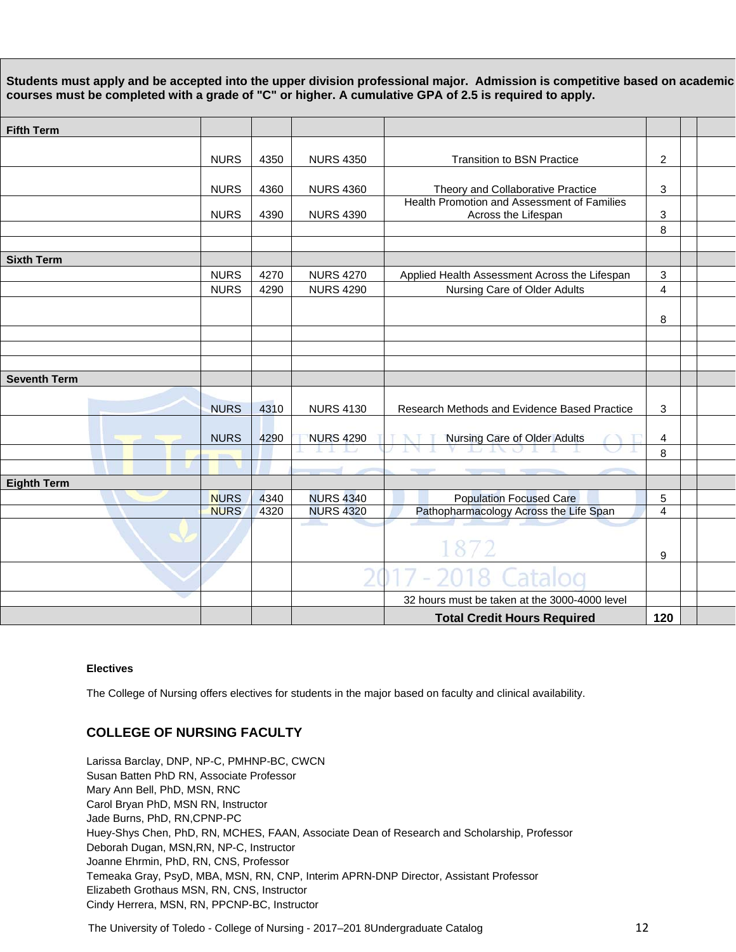**Students must apply and be accepted into the upper division professional major. Admission is competitive based on academic courses must be completed with a grade of "C" or higher. A cumulative GPA of 2.5 is required to apply.** 

| <b>Fifth Term</b>   |                            |              |                                      |                                                                               |                         |  |
|---------------------|----------------------------|--------------|--------------------------------------|-------------------------------------------------------------------------------|-------------------------|--|
|                     |                            |              |                                      |                                                                               |                         |  |
|                     | <b>NURS</b>                | 4350         | <b>NURS 4350</b>                     | <b>Transition to BSN Practice</b>                                             | $\overline{c}$          |  |
|                     | <b>NURS</b>                | 4360         | <b>NURS 4360</b>                     | Theory and Collaborative Practice                                             |                         |  |
|                     | <b>NURS</b>                | 4390         | <b>NURS 4390</b>                     | Health Promotion and Assessment of Families<br>Across the Lifespan            | 3                       |  |
|                     |                            |              |                                      |                                                                               | 8                       |  |
|                     |                            |              |                                      |                                                                               |                         |  |
| <b>Sixth Term</b>   |                            |              |                                      |                                                                               |                         |  |
|                     | <b>NURS</b><br><b>NURS</b> | 4270<br>4290 | <b>NURS 4270</b><br><b>NURS 4290</b> | Applied Health Assessment Across the Lifespan<br>Nursing Care of Older Adults | 3<br>$\overline{4}$     |  |
|                     |                            |              |                                      |                                                                               |                         |  |
|                     |                            |              |                                      |                                                                               | 8                       |  |
|                     |                            |              |                                      |                                                                               |                         |  |
|                     |                            |              |                                      |                                                                               |                         |  |
|                     |                            |              |                                      |                                                                               |                         |  |
| <b>Seventh Term</b> |                            |              |                                      |                                                                               |                         |  |
|                     | <b>NURS</b>                | 4310         | <b>NURS 4130</b>                     | Research Methods and Evidence Based Practice                                  | 3                       |  |
|                     | <b>NURS</b>                | 4290         | <b>NURS 4290</b>                     | Nursing Care of Older Adults                                                  | $\overline{\mathbf{4}}$ |  |
|                     |                            |              |                                      |                                                                               | 8                       |  |
|                     |                            |              |                                      |                                                                               |                         |  |
| <b>Eighth Term</b>  |                            |              |                                      |                                                                               |                         |  |
|                     | <b>NURS</b>                | 4340         | <b>NURS 4340</b>                     | <b>Population Focused Care</b>                                                | $\sqrt{5}$              |  |
|                     | <b>NURS</b>                | 4320         | <b>NURS 4320</b>                     | Pathopharmacology Across the Life Span                                        | $\overline{4}$          |  |
|                     |                            |              |                                      |                                                                               | 9                       |  |
|                     |                            |              |                                      |                                                                               |                         |  |
|                     |                            |              |                                      | 32 hours must be taken at the 3000-4000 level                                 |                         |  |
|                     |                            |              |                                      | <b>Total Credit Hours Required</b>                                            | 120                     |  |

### **Electives**

The College of Nursing offers electives for students in the major based on faculty and clinical availability.

# **COLLEGE OF NURSING FACULTY**

Larissa Barclay, DNP, NP-C, PMHNP-BC, CWCN Susan Batten PhD RN, Associate Professor Mary Ann Bell, PhD, MSN, RNC Carol Bryan PhD, MSN RN, Instructor Jade Burns, PhD, RN,CPNP-PC Huey-Shys Chen, PhD, RN, MCHES, FAAN, Associate Dean of Research and Scholarship, Professor Deborah Dugan, MSN,RN, NP-C, Instructor Joanne Ehrmin, PhD, RN, CNS, Professor Temeaka Gray, PsyD, MBA, MSN, RN, CNP, Interim APRN-DNP Director, Assistant Professor Elizabeth Grothaus MSN, RN, CNS, Instructor Cindy Herrera, MSN, RN, PPCNP-BC, Instructor

The University of Toledo - College of Nursing - 2017–201 8Undergraduate Catalog **12** 2017